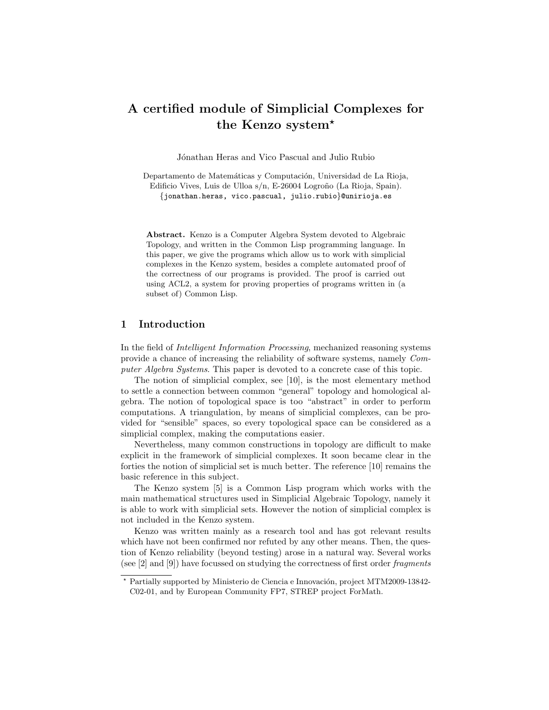# A certified module of Simplicial Complexes for the Kenzo system?

Jónathan Heras and Vico Pascual and Julio Rubio

Departamento de Matemáticas y Computación, Universidad de La Rioja, Edificio Vives, Luis de Ulloa s/n, E-26004 Logroño (La Rioja, Spain). {jonathan.heras, vico.pascual, julio.rubio}@unirioja.es

Abstract. Kenzo is a Computer Algebra System devoted to Algebraic Topology, and written in the Common Lisp programming language. In this paper, we give the programs which allow us to work with simplicial complexes in the Kenzo system, besides a complete automated proof of the correctness of our programs is provided. The proof is carried out using ACL2, a system for proving properties of programs written in (a subset of) Common Lisp.

## 1 Introduction

In the field of Intelligent Information Processing, mechanized reasoning systems provide a chance of increasing the reliability of software systems, namely Computer Algebra Systems. This paper is devoted to a concrete case of this topic.

The notion of simplicial complex, see [\[10\]](#page-7-0), is the most elementary method to settle a connection between common "general" topology and homological algebra. The notion of topological space is too "abstract" in order to perform computations. A triangulation, by means of simplicial complexes, can be provided for "sensible" spaces, so every topological space can be considered as a simplicial complex, making the computations easier.

Nevertheless, many common constructions in topology are difficult to make explicit in the framework of simplicial complexes. It soon became clear in the forties the notion of simplicial set is much better. The reference [\[10\]](#page-7-0) remains the basic reference in this subject.

The Kenzo system [\[5\]](#page-7-1) is a Common Lisp program which works with the main mathematical structures used in Simplicial Algebraic Topology, namely it is able to work with simplicial sets. However the notion of simplicial complex is not included in the Kenzo system.

Kenzo was written mainly as a research tool and has got relevant results which have not been confirmed nor refuted by any other means. Then, the question of Kenzo reliability (beyond testing) arose in a natural way. Several works (see [\[2\]](#page-7-2) and [\[9\]](#page-7-3)) have focussed on studying the correctness of first order fragments

 $*$  Partially supported by Ministerio de Ciencia e Innovación, project MTM2009-13842-C02-01, and by European Community FP7, STREP project ForMath.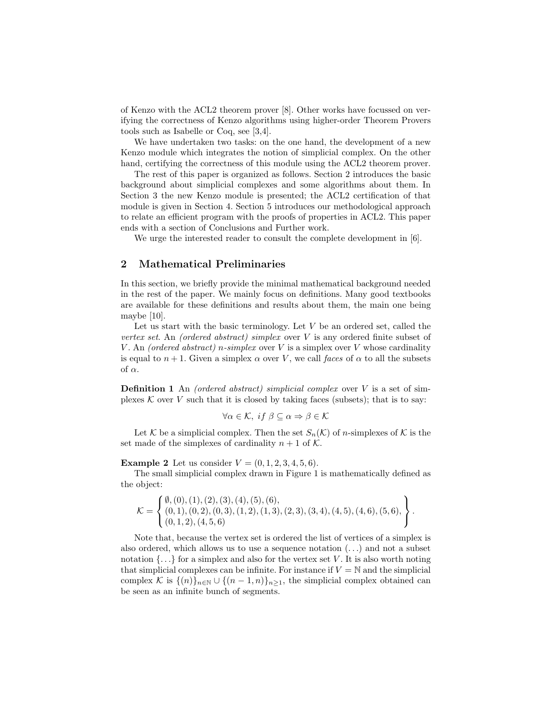of Kenzo with the ACL2 theorem prover [\[8\]](#page-7-4). Other works have focussed on verifying the correctness of Kenzo algorithms using higher-order Theorem Provers tools such as Isabelle or Coq, see [\[3](#page-7-5)[,4\]](#page-7-6).

We have undertaken two tasks: on the one hand, the development of a new Kenzo module which integrates the notion of simplicial complex. On the other hand, certifying the correctness of this module using the ACL2 theorem prover.

The rest of this paper is organized as follows. Section [2](#page-1-0) introduces the basic background about simplicial complexes and some algorithms about them. In Section [3](#page-3-0) the new Kenzo module is presented; the ACL2 certification of that module is given in Section [4.](#page-4-0) Section [5](#page-6-0) introduces our methodological approach to relate an efficient program with the proofs of properties in ACL2. This paper ends with a section of Conclusions and Further work.

We urge the interested reader to consult the complete development in [\[6\]](#page-7-7).

## <span id="page-1-0"></span>2 Mathematical Preliminaries

In this section, we briefly provide the minimal mathematical background needed in the rest of the paper. We mainly focus on definitions. Many good textbooks are available for these definitions and results about them, the main one being maybe [\[10\]](#page-7-0).

Let us start with the basic terminology. Let  $V$  be an ordered set, called the vertex set. An (ordered abstract) simplex over V is any ordered finite subset of V. An (ordered abstract) n-simplex over V is a simplex over V whose cardinality is equal to  $n+1$ . Given a simplex  $\alpha$  over V, we call faces of  $\alpha$  to all the subsets of  $\alpha$ .

**Definition 1** An *(ordered abstract)* simplicial complex over  $V$  is a set of simplexes  $K$  over  $V$  such that it is closed by taking faces (subsets); that is to say:

$$
\forall \alpha \in \mathcal{K}, \; \text{if } \beta \subseteq \alpha \Rightarrow \beta \in \mathcal{K}
$$

Let K be a simplicial complex. Then the set  $S_n(\mathcal{K})$  of *n*-simplexes of K is the set made of the simplexes of cardinality  $n + 1$  of K.

**Example 2** Let us consider  $V = (0, 1, 2, 3, 4, 5, 6)$ .

The small simplicial complex drawn in Figure [1](#page-2-0) is mathematically defined as the object:

$$
\mathcal{K} = \left\{ \begin{matrix} \emptyset, (0), (1), (2), (3), (4), (5), (6), \\ (0, 1), (0, 2), (0, 3), (1, 2), (1, 3), (2, 3), (3, 4), (4, 5), (4, 6), (5, 6), \\ (0, 1, 2), (4, 5, 6) \end{matrix} \right\}.
$$

Note that, because the vertex set is ordered the list of vertices of a simplex is also ordered, which allows us to use a sequence notation  $(\ldots)$  and not a subset notation  $\{\ldots\}$  for a simplex and also for the vertex set V. It is also worth noting that simplicial complexes can be infinite. For instance if  $V = N$  and the simplicial complex K is  $\{(n)\}_{n\in\mathbb{N}}\cup\{(n-1,n)\}_{n\geq1}$ , the simplicial complex obtained can be seen as an infinite bunch of segments.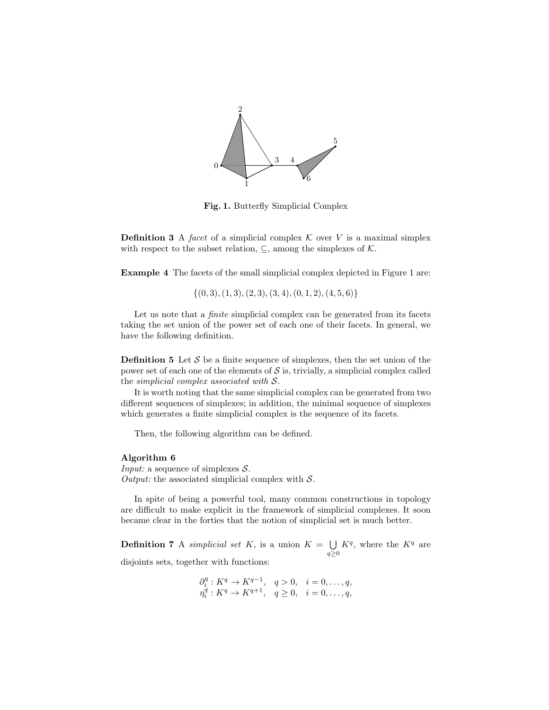

<span id="page-2-0"></span>Fig. 1. Butterfly Simplicial Complex

**Definition 3** A facet of a simplicial complex  $\mathcal K$  over  $V$  is a maximal simplex with respect to the subset relation,  $\subseteq$ , among the simplexes of  $\mathcal{K}$ .

<span id="page-2-2"></span>Example 4 The facets of the small simplicial complex depicted in Figure [1](#page-2-0) are:

 $\{(0, 3), (1, 3), (2, 3), (3, 4), (0, 1, 2), (4, 5, 6)\}$ 

Let us note that a *finite* simplicial complex can be generated from its facets taking the set union of the power set of each one of their facets. In general, we have the following definition.

**Definition 5** Let  $S$  be a finite sequence of simplexes, then the set union of the power set of each one of the elements of  $\mathcal S$  is, trivially, a simplicial complex called the simplicial complex associated with S.

It is worth noting that the same simplicial complex can be generated from two different sequences of simplexes; in addition, the minimal sequence of simplexes which generates a finite simplicial complex is the sequence of its facets.

<span id="page-2-1"></span>Then, the following algorithm can be defined.

### Algorithm 6

*Input:* a sequence of simplexes  $S$ . Output: the associated simplicial complex with  $S$ .

In spite of being a powerful tool, many common constructions in topology are difficult to make explicit in the framework of simplicial complexes. It soon became clear in the forties that the notion of simplicial set is much better.

**Definition 7** A *simplicial set K*, is a union  $K = \bigcup$  $q\geq 0$  $K^q$ , where the  $K^q$  are disjoints sets, together with functions:

$$
\partial_i^q : K^q \to K^{q-1}, \quad q > 0, \quad i = 0, \ldots, q,
$$
  
\n $\eta_i^q : K^q \to K^{q+1}, \quad q \ge 0, \quad i = 0, \ldots, q,$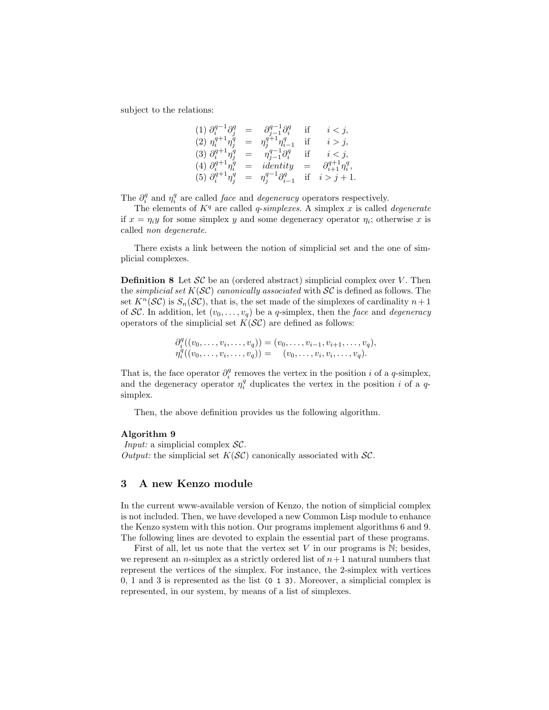subject to the relations:

(1) 
$$
\partial_i^{q-1} \partial_j^q = \partial_{j-1}^{q-1} \partial_i^q
$$
 if  $i < j$ ,  
\n(2)  $\eta_i^{q+1} \eta_j^q = \eta_j^{q+1} \eta_{i-1}^q$  if  $i > j$ ,  
\n(3)  $\partial_i^{q+1} \eta_j^q = \eta_{j-1}^{q-1} \partial_i^q$  if  $i < j$ ,  
\n(4)  $\partial_i^{q+1} \eta_i^q =$  identity  $= \partial_{i+1}^{q+1} \eta_i^q$ ,  
\n(5)  $\partial_i^{q+1} \eta_j^q = \eta_j^{q-1} \partial_{i-1}^q$  if  $i > j + 1$ .

The  $\partial_i^q$  and  $\eta_i^q$  are called *face* and *degeneracy* operators respectively.

The elements of  $K<sup>q</sup>$  are called *q-simplexes*. A simplex x is called *degenerate* if  $x = \eta_i y$  for some simplex y and some degeneracy operator  $\eta_i$ ; otherwise x is called non degenerate.

There exists a link between the notion of simplicial set and the one of simplicial complexes.

<span id="page-3-2"></span>**Definition 8** Let  $\mathcal{SC}$  be an (ordered abstract) simplicial complex over V. Then the *simplicial set*  $K(S\mathcal{C})$  *canonically associated* with  $SC$  is defined as follows. The set  $K^n(\mathcal{SC})$  is  $S_n(\mathcal{SC})$ , that is, the set made of the simplexes of cardinality  $n+1$ of SC. In addition, let  $(v_0, \ldots, v_q)$  be a q-simplex, then the face and degeneracy operators of the simplicial set  $K(S\mathcal{C})$  are defined as follows:

> $\partial_i^q((v_0,\ldots,v_i,\ldots,v_q)) = (v_0,\ldots,v_{i-1},v_{i+1},\ldots,v_q),$  $\eta_i^q((v_0, \ldots, v_i, \ldots, v_q)) = (v_0, \ldots, v_i, v_i, \ldots, v_q).$

That is, the face operator  $\partial_i^q$  removes the vertex in the position i of a q-simplex, and the degeneracy operator  $\eta_i^q$  duplicates the vertex in the position i of a qsimplex.

Then, the above definition provides us the following algorithm.

### <span id="page-3-1"></span>Algorithm 9

*Input:* a simplicial complex  $SC$ . Output: the simplicial set  $K(S\mathcal{C})$  canonically associated with  $\mathcal{SC}$ .

## <span id="page-3-0"></span>3 A new Kenzo module

In the current www-available version of Kenzo, the notion of simplicial complex is not included. Then, we have developed a new Common Lisp module to enhance the Kenzo system with this notion. Our programs implement algorithms [6](#page-2-1) and [9.](#page-3-1) The following lines are devoted to explain the essential part of these programs.

First of all, let us note that the vertex set  $V$  in our programs is  $\mathbb{N}$ ; besides, we represent an *n*-simplex as a strictly ordered list of  $n+1$  natural numbers that represent the vertices of the simplex. For instance, the 2-simplex with vertices 0, 1 and 3 is represented as the list (0 1 3). Moreover, a simplicial complex is represented, in our system, by means of a list of simplexes.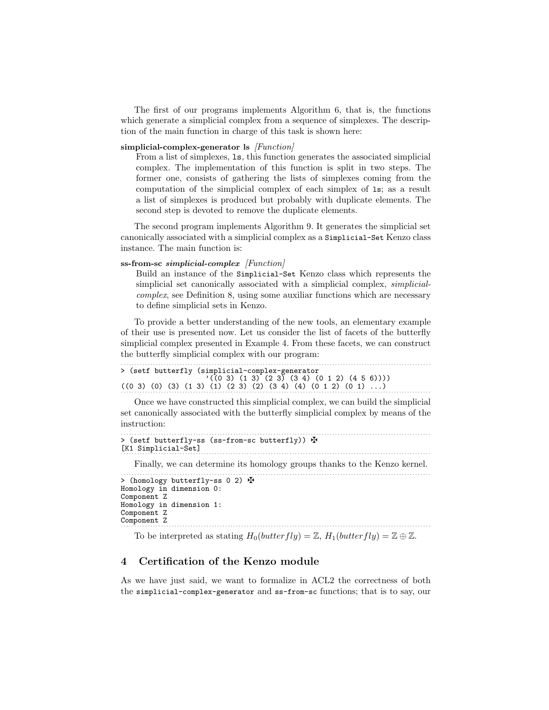The first of our programs implements Algorithm [6,](#page-2-1) that is, the functions which generate a simplicial complex from a sequence of simplexes. The description of the main function in charge of this task is shown here:

### simplicial-complex-generator ls  $[Function]$

From a list of simplexes, ls, this function generates the associated simplicial complex. The implementation of this function is split in two steps. The former one, consists of gathering the lists of simplexes coming from the computation of the simplicial complex of each simplex of ls; as a result a list of simplexes is produced but probably with duplicate elements. The second step is devoted to remove the duplicate elements.

The second program implements Algorithm [9.](#page-3-1) It generates the simplicial set canonically associated with a simplicial complex as a Simplicial-Set Kenzo class instance. The main function is:

### ss-from-sc simplicial-complex [Function]

Build an instance of the Simplicial-Set Kenzo class which represents the simplicial set canonically associated with a simplicial complex, simplicialcomplex, see Definition [8,](#page-3-2) using some auxiliar functions which are necessary to define simplicial sets in Kenzo.

To provide a better understanding of the new tools, an elementary example of their use is presented now. Let us consider the list of facets of the butterfly simplicial complex presented in Example [4.](#page-2-2) From these facets, we can construct the butterfly simplicial complex with our program:

```
. . . . . . . . . . . . . . . . . . . . . . . . . . . . . . . . . . . . . . . . . . . . . . . . . . . . . . . . . . . . . . . . . . . . . . . . . . . . . . . . . . . . . . . . . . . . . . . . . . . . . . . . . . . . . . . . . . . .
> (setf butterfly (simplicial-complex-generator
                                    '(\overline{(0\ 3)\ (1\ 3)\ (2\ 3)\ (3\ 4)\ (0\ 1\ 2)\ (4\ 5\ 6))))((0\ 3)\ (0)\ (3)\ (1\ 3)\ (1)\ (2\ 3)\ (2)\ (3\ 4)\ (4)\ (0\ 1\ 2)\ (0\ 1)\ \ldots)
```
Once we have constructed this simplicial complex, we can build the simplicial set canonically associated with the butterfly simplicial complex by means of the instruction:

```
. . . . . . . . . . . . . . . . . . . . . . . . . . . . . . . . . . . . . . . . . . . . . . . . . . . . . . . . . . . . . . . . . . . . . . . . . . . . . . . . . . . . . . . . . . . . . . . . . . . . . . . . . . . . . . . . . . . .
> (setf butterfly-ss (ss-from-sc butterfly)) \Phi[K1 Simplicial-Set]
                                                                                                 . . . . . . . . . . . . . . . . . . . . . . . . . . . . . . . . . . . . . . . . . . . . . . . . . . . . . . . . . . . . . . . . . . . . . . . . . . . . . . . . . . . . . . . . . . . . . . . . . . . . . . . . . . . . . . . . . . . .
```
Finally, we can determine its homology groups thanks to the Kenzo kernel.

```
. . . . . . . . . . . . . . . . . . . . . . . . . . . . . . . . . . . . . . . . . . . . . . . . . . . . . . . . . . . . . . . . . . . . . . . . . . . . . . . . . . . . . . . . . . . . . . . . . . . . . . . . . . . . . . . . . . . .
> (homology butterfly-ss 0 2) \mathbf{\Phi}Homology in dimension 0:
Component Z
Homology in dimension 1:
Component Z
Component Z
```
. . . . . . . . . . . . . . . . . . . . . . . . . . . . . . . . . . . . . . . . . . . . . . . . . . . . . . . . . . . . . . . . . . . . . . . . . . . . . . . . . . . . . . . . . . . . . . . . . . . . . . . . . . . . . . . . . . . .

## To be interpreted as stating  $H_0(butterfly) = \mathbb{Z}$ ,  $H_1(butterfly) = \mathbb{Z} \oplus \mathbb{Z}$ .

## <span id="page-4-0"></span>4 Certification of the Kenzo module

As we have just said, we want to formalize in ACL2 the correctness of both the simplicial-complex-generator and ss-from-sc functions; that is to say, our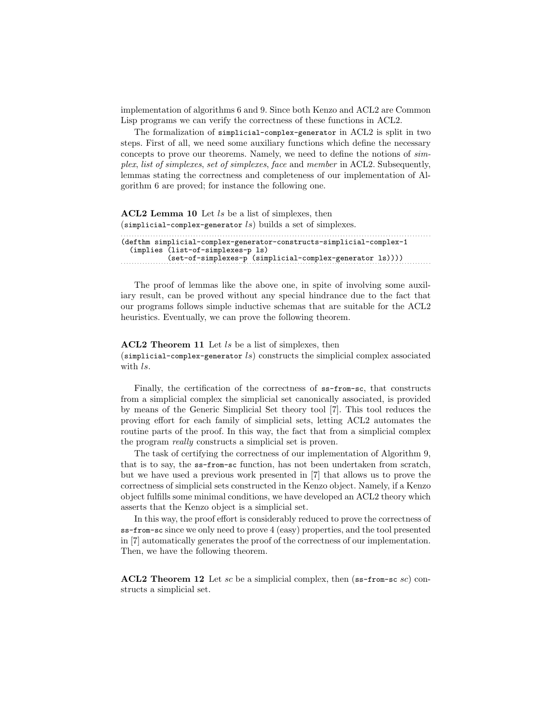implementation of algorithms [6](#page-2-1) and [9.](#page-3-1) Since both Kenzo and ACL2 are Common Lisp programs we can verify the correctness of these functions in ACL2.

The formalization of simplicial-complex-generator in ACL2 is split in two steps. First of all, we need some auxiliary functions which define the necessary concepts to prove our theorems. Namely, we need to define the notions of simplex, list of simplexes, set of simplexes, face and member in ACL2. Subsequently, lemmas stating the correctness and completeness of our implementation of Algorithm [6](#page-2-1) are proved; for instance the following one.

### ACL2 Lemma 10 Let ls be a list of simplexes, then  $(simplicial-complex-generation$  builds a set of simplexes. . . . . . . . . . . . . . . . . . . . . . . . . . . . . . . . . . . . . . . . . . . . . . . . . . . . . . . . . . . . . . . . . . . . . . . . . . . . . . . . . . . . . . . . . . . . . . . . . . . . . . . . . . . . . . . . . . . . .

| (defthm simplicial-complex-generator-constructs-simplicial-complex-1 |  |
|----------------------------------------------------------------------|--|
| (implies (list-of-simplexes-p ls)                                    |  |
| $(set-of-simplexes-p (simplicial-complex-generation Is))))$          |  |
|                                                                      |  |

The proof of lemmas like the above one, in spite of involving some auxiliary result, can be proved without any special hindrance due to the fact that our programs follows simple inductive schemas that are suitable for the ACL2 heuristics. Eventually, we can prove the following theorem.

## ACL2 Theorem 11 Let ls be a list of simplexes, then (simplicial-complex-generator  $ls$ ) constructs the simplicial complex associated with ls.

Finally, the certification of the correctness of ss-from-sc, that constructs from a simplicial complex the simplicial set canonically associated, is provided by means of the Generic Simplicial Set theory tool [\[7\]](#page-7-8). This tool reduces the proving effort for each family of simplicial sets, letting ACL2 automates the routine parts of the proof. In this way, the fact that from a simplicial complex the program really constructs a simplicial set is proven.

The task of certifying the correctness of our implementation of Algorithm [9,](#page-3-1) that is to say, the ss-from-sc function, has not been undertaken from scratch, but we have used a previous work presented in [\[7\]](#page-7-8) that allows us to prove the correctness of simplicial sets constructed in the Kenzo object. Namely, if a Kenzo object fulfills some minimal conditions, we have developed an ACL2 theory which asserts that the Kenzo object is a simplicial set.

In this way, the proof effort is considerably reduced to prove the correctness of ss-from-sc since we only need to prove 4 (easy) properties, and the tool presented in [\[7\]](#page-7-8) automatically generates the proof of the correctness of our implementation. Then, we have the following theorem.

**ACL2** Theorem 12 Let sc be a simplicial complex, then  $(s = f_{\text{row-sc}} s c)$  constructs a simplicial set.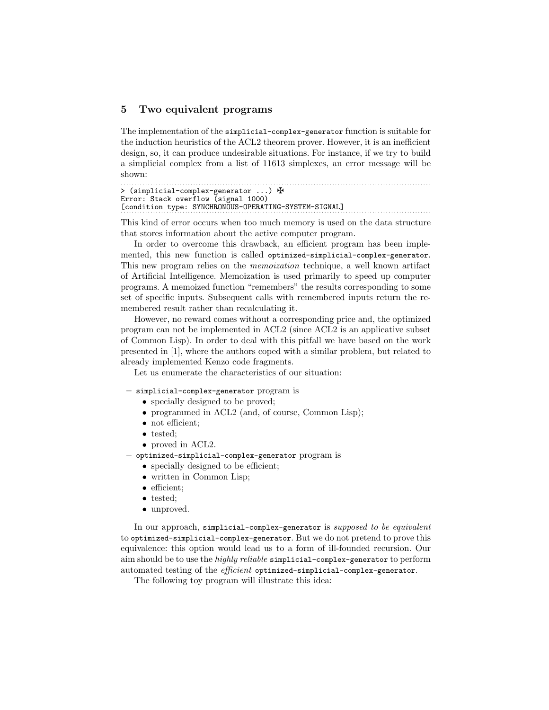## <span id="page-6-0"></span>5 Two equivalent programs

The implementation of the simplicial-complex-generator function is suitable for the induction heuristics of the ACL2 theorem prover. However, it is an inefficient design, so, it can produce undesirable situations. For instance, if we try to build a simplicial complex from a list of 11613 simplexes, an error message will be shown:

```
. . . . . . . . . . . . . . . . . . . . . . . . . . . . . . . . . . . . . . . . . . . . . . . . . . . . . . . . . . . . . . . . . . . . . . . . . . . . . . . . . . . . . . . . . . . . . . . . . . . . . . . . . . . . . . . . . . . .
> (simplicial-complex-generator ...) H
Error: Stack overflow (signal 1000)
[condition type: SYNCHRONOUS-OPERATING-SYSTEM-SIGNAL]
```
This kind of error occurs when too much memory is used on the data structure that stores information about the active computer program.

In order to overcome this drawback, an efficient program has been implemented, this new function is called optimized-simplicial-complex-generator. This new program relies on the memoization technique, a well known artifact of Artificial Intelligence. Memoization is used primarily to speed up computer programs. A memoized function "remembers" the results corresponding to some set of specific inputs. Subsequent calls with remembered inputs return the remembered result rather than recalculating it.

However, no reward comes without a corresponding price and, the optimized program can not be implemented in ACL2 (since ACL2 is an applicative subset of Common Lisp). In order to deal with this pitfall we have based on the work presented in [\[1\]](#page-7-9), where the authors coped with a similar problem, but related to already implemented Kenzo code fragments.

Let us enumerate the characteristics of our situation:

- simplicial-complex-generator program is
	- specially designed to be proved;
	- programmed in ACL2 (and, of course, Common Lisp);
	- not efficient:
	- tested:
	- proved in ACL2.
- optimized-simplicial-complex-generator program is
	- specially designed to be efficient;
	- written in Common Lisp;
	- efficient;
	- tested;
	- unproved.

In our approach, simplicial-complex-generator is supposed to be equivalent to optimized-simplicial-complex-generator. But we do not pretend to prove this equivalence: this option would lead us to a form of ill-founded recursion. Our aim should be to use the highly reliable simplicial-complex-generator to perform automated testing of the *efficient* optimized-simplicial-complex-generator.

The following toy program will illustrate this idea: